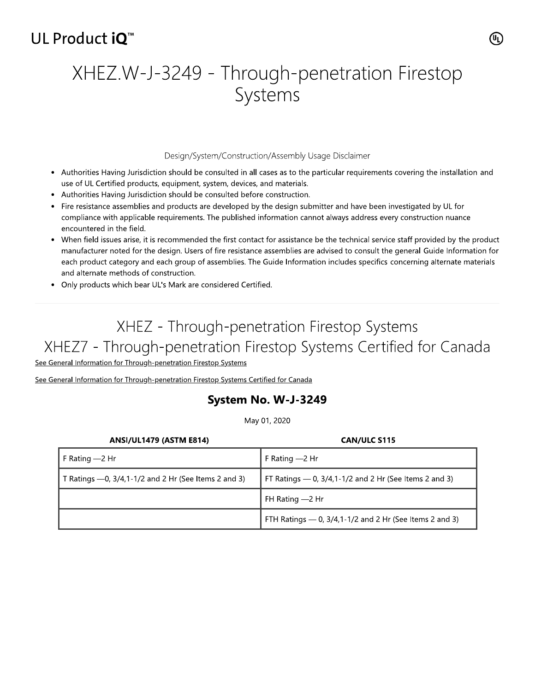## UL Product iO<sup>™</sup>

# XHEZ.W-J-3249 - Through-penetration Firestop Systems

#### Design/System/Construction/Assembly Usage Disclaimer

- Authorities Having Jurisdiction should be consulted in all cases as to the particular requirements covering the installation and use of UL Certified products, equipment, system, devices, and materials.
- Authorities Having Jurisdiction should be consulted before construction.
- Fire resistance assemblies and products are developed by the design submitter and have been investigated by UL for compliance with applicable requirements. The published information cannot always address every construction nuance encountered in the field.
- When field issues arise, it is recommended the first contact for assistance be the technical service staff provided by the product manufacturer noted for the design. Users of fire resistance assemblies are advised to consult the general Guide Information for each product category and each group of assemblies. The Guide Information includes specifics concerning alternate materials and alternate methods of construction.
- Only products which bear UL's Mark are considered Certified.

## XHEZ - Through-penetration Firestop Systems XHEZ7 - Through-penetration Firestop Systems Certified for Canada

See General Information for Through-penetration Firestop Systems

See General Information for Through-penetration Firestop Systems Certified for Canada

## System No. W-J-3249

May 01, 2020

| <b>ANSI/UL1479 (ASTM E814)</b>                          | <b>CAN/ULC S115</b>                                       |
|---------------------------------------------------------|-----------------------------------------------------------|
| F Rating $-2$ Hr                                        | F Rating - 2 Hr                                           |
| T Ratings $-0$ , 3/4,1-1/2 and 2 Hr (See Items 2 and 3) | FT Ratings $-$ 0, 3/4,1-1/2 and 2 Hr (See Items 2 and 3)  |
|                                                         | FH Rating $-2$ Hr                                         |
|                                                         | FTH Ratings $-$ 0, 3/4,1-1/2 and 2 Hr (See Items 2 and 3) |

(U<sub>L)</sub>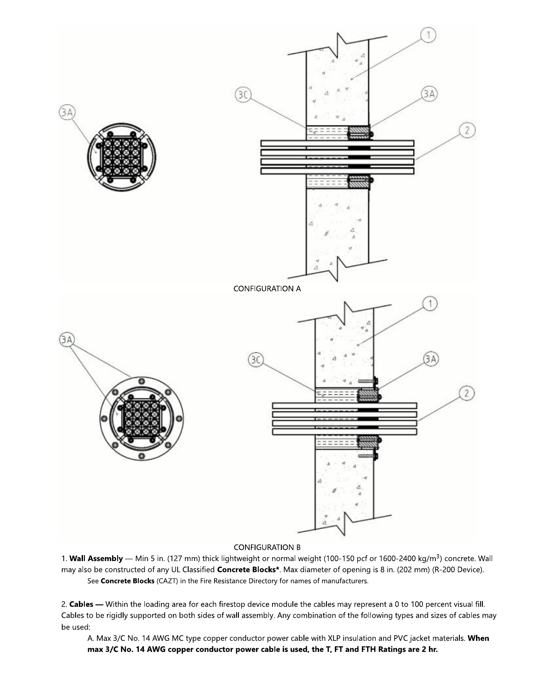

### **CONFIGURATION B**

1. Wall Assembly - Min 5 in. (127 mm) thick lightweight or normal weight (100-150 pcf or 1600-2400 kg/m<sup>3</sup>) concrete. Wall may also be constructed of any UL Classified Concrete Blocks\*. Max diameter of opening is 8 in. (202 mm) (R-200 Device). See Concrete Blocks (CAZT) in the Fire Resistance Directory for names of manufacturers.

2. Cables - Within the loading area for each firestop device module the cables may represent a 0 to 100 percent visual fill. Cables to be rigidly supported on both sides of wall assembly. Any combination of the following types and sizes of cables may be used:

A. Max 3/C No. 14 AWG MC type copper conductor power cable with XLP insulation and PVC jacket materials. When max 3/C No. 14 AWG copper conductor power cable is used, the T, FT and FTH Ratings are 2 hr.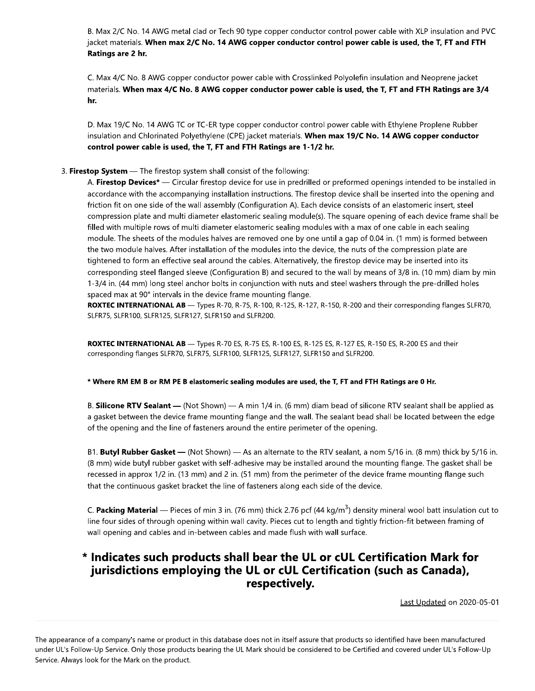B. Max 2/C No. 1 14 AWG metal clad or Tech 90 type copper conductor control power cable with XLP insulation and PVC<br>
5. **When max 2/C No. 14 AWG copper conductor control power cable is used, the T, FT and FTH**<br>
16. AWG copper conductor pow acket materials. When max 2/C No. 14 AWG copper conductor control power cable is used, the T, FT and FTH  $\,$ Ratings are 2 hr.

C. Max 4/C No. 8 AWG copper conductor power cable with Crosslinked Polyolefin insulation and Neoprene Jacket (  $^{\rm{marginals.}}$  When  $^{\rm{max}}$  4/C No. 8 AWG copper conductor power cable is used, the T, FT and FTH Ratings are 3/4 hr.

D. Max 19/C No. 14 AWG TC or TC-ER type copper conductor control power cable with Ethylene Proplene Rubber (Da insulation and Chlorinated Polyethylene (CPE) jacket materials. **When max 19/C No. 14 AWG copper conductor** control power cable is used, the T, FT and FTH Ratings are  $1-1/2$  hr.

### 3. Firestop System — The firestop system shall consist of the following:

A. **Firestop Devices\* —** Circular firestop device for use in predrilled or preformed openings intended to be installed in accordance with the accompanying installation instructions. The firestop device shall be inserted into the opening and friction fit on one side of the wall assembly (Configuration A). Each device consists of an elastomeric insert, steel compression plate and multi diameter elastomeric sealing module(s). The square opening of each device frame shall be filled with multiple rows of multi diameter elastomeric sealing modules with a max of one cable in each sealing module. The sheets of the modules halves are removed one by one until a gap of 0.04 in. (T mm) is formed between the two module halves. After installation of the modules into the device, the huts of the compression plate are tightened to form an effective seal around the cables. Alternatively, the firestop device may be inserted into its corresponding steel flanged sleeve (Configuration B) and secured to the wall by means of 3/8 in. (TV mm) diam by min T-3/4 in. (44 mm) long steel anchor bolts in conjunction with huts and steel washers through the pre-drilled holes  $s$ paced max at 90° intervals in the device frame mounting flange.  $\hspace{0.1cm}$ 

ROXTEC INTERNATIONAL AB — Types R-70, R-75, R-100, R-125, R-127, R-150, R-200 and their corresponding flanges SLFR70,  $SLFR/5$ , SLFRTUU, SLFRTZ5, SLFRTZ7, SLFRT50 and SLFRZUU.

ROXTEC INTERNATIONAL AB - Types R-70 ES, R-75 ES, R-100 ES, R-125 ES, R-127 ES, R-150 ES, R-200 ES and their  $\,$  corresponding flanges SLFR/0, SLFR/5, SLFR100, SLFR125, SLFR127, SLFR150 and SLFR200.

#### \* Where RM EM B or RM PE B elastomeric sealing modules are used, the T, FT and FTH Ratings are 0 Hr.

B. Silicone RTV Sealant — (Not Shown) — A min 1/4 in. (G a gasket between the device frame mounting flange and the wall. The sealant bead shall be located between the edge of the opening and the line of fasteners around the entire perimeter of the opening.

00 ES, R-125 ES, R-127 ES, R-150 ES, R-200 ES and their<br>FR127, SLFR150 and SLFR200.<br>**s are used, the T, FT and FTH Ratings are 0 Hr.**<br>(6 mm) diam bead of silicone RTV sealant shall be applied as<br>the wall. The sealant bead BT. Butyl Rubber Gasket — (Not Shown) — As an alternate to the RTV sealant, a nom 5/16 in. (8 mm) thick by 5/16 in.<br>I astomeric sealing modules are used, the T, FT and FTH Ratings are<br>
t Shown) — A min 1/4 in. (6 mm) diam bead of silicone RTV seala<br>
ime mounting flange and the wall. The sealant bead shall be locat<br>
asteners around the en (8 mm) wide butyl rubber gasket with self-adhesive may be installed around the mounting flange. The gasket shall be recessed in approx 1/2 in. (13 mm) and 2 in. (51 mm) from the perimeter of the device frame mounting flange such that the continuous gasket bracket the line of fasteners along each side of the device.

C. **Packing Material —** Pieces of min 3 in. (76 mm) thick 2.76 pcf (44 kg/m<sup>3</sup>) density mineral wool batt insulation cut to line four sides of through opening within wall cavity. Pieces cut to length and tightly friction-fit between framing of wall opening and cables and in-between cables and made flush with wall surface.

## \* Indicates such products shall bear the UL or cUL Certification Mark for jurisdictions employing the UL or cUL Certification (such as Canada), respectively.

Last Updated on 2020-05-01

The appearance of a company's name or product in this database does not in itself assure that products so identified have been manufactured under UL's Follow-Up Service. Only those products bearing the UL Mark should be considered to be Certified and covered under UL's Follow-Up (  $\mu$ Service. Always look for the Mark on the product.